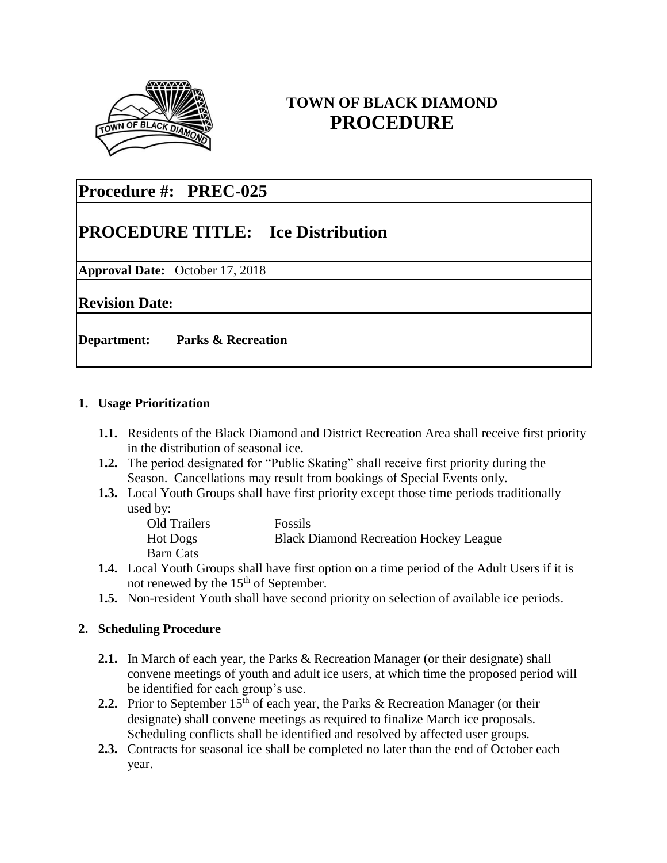

## **TOWN OF BLACK DIAMOND PROCEDURE**

# **Procedure #: PREC-025**

# **PROCEDURE TITLE: Ice Distribution**

**Approval Date:** October 17, 2018

**Revision Date:** 

**Department: Parks & Recreation**

### **1. Usage Prioritization**

- **1.1.** Residents of the Black Diamond and District Recreation Area shall receive first priority in the distribution of seasonal ice.
- **1.2.** The period designated for "Public Skating" shall receive first priority during the Season. Cancellations may result from bookings of Special Events only.
- **1.3.** Local Youth Groups shall have first priority except those time periods traditionally used by:

| Old Trailers | <b>Fossils</b>                                |
|--------------|-----------------------------------------------|
| Hot Dogs     | <b>Black Diamond Recreation Hockey League</b> |
| Barn Cats    |                                               |

- **1.4.** Local Youth Groups shall have first option on a time period of the Adult Users if it is not renewed by the 15<sup>th</sup> of September.
- **1.5.** Non-resident Youth shall have second priority on selection of available ice periods.

## **2. Scheduling Procedure**

- **2.1.** In March of each year, the Parks & Recreation Manager (or their designate) shall convene meetings of youth and adult ice users, at which time the proposed period will be identified for each group's use.
- **2.2.** Prior to September  $15<sup>th</sup>$  of each year, the Parks & Recreation Manager (or their designate) shall convene meetings as required to finalize March ice proposals. Scheduling conflicts shall be identified and resolved by affected user groups.
- **2.3.** Contracts for seasonal ice shall be completed no later than the end of October each year.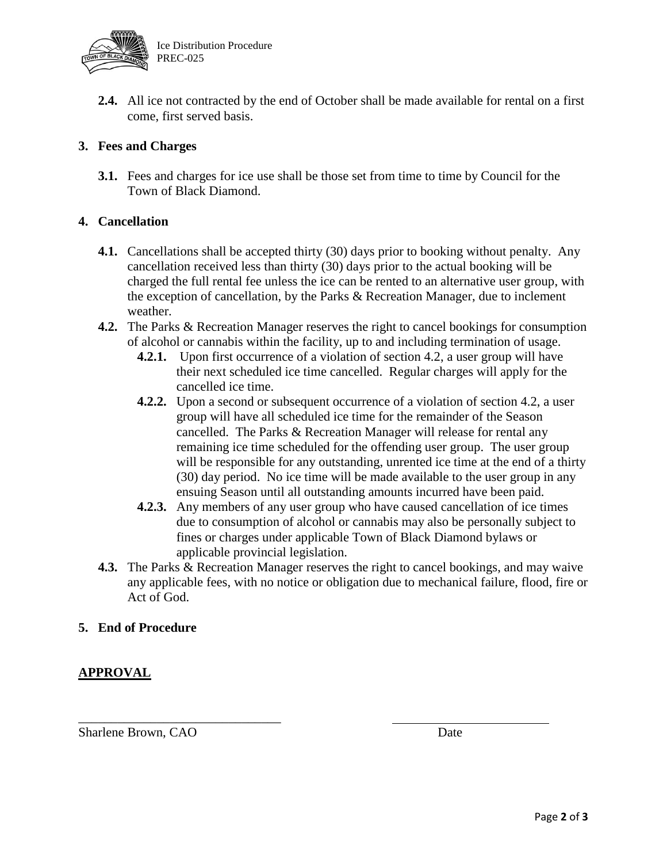

**2.4.** All ice not contracted by the end of October shall be made available for rental on a first come, first served basis.

## **3. Fees and Charges**

**3.1.** Fees and charges for ice use shall be those set from time to time by Council for the Town of Black Diamond.

### **4. Cancellation**

- **4.1.** Cancellations shall be accepted thirty (30) days prior to booking without penalty. Any cancellation received less than thirty (30) days prior to the actual booking will be charged the full rental fee unless the ice can be rented to an alternative user group, with the exception of cancellation, by the Parks  $\&$  Recreation Manager, due to inclement weather.
- **4.2.** The Parks & Recreation Manager reserves the right to cancel bookings for consumption of alcohol or cannabis within the facility, up to and including termination of usage.
	- **4.2.1.** Upon first occurrence of a violation of section 4.2, a user group will have their next scheduled ice time cancelled. Regular charges will apply for the cancelled ice time.
	- **4.2.2.** Upon a second or subsequent occurrence of a violation of section 4.2, a user group will have all scheduled ice time for the remainder of the Season cancelled. The Parks & Recreation Manager will release for rental any remaining ice time scheduled for the offending user group. The user group will be responsible for any outstanding, unrented ice time at the end of a thirty (30) day period. No ice time will be made available to the user group in any ensuing Season until all outstanding amounts incurred have been paid.
	- **4.2.3.** Any members of any user group who have caused cancellation of ice times due to consumption of alcohol or cannabis may also be personally subject to fines or charges under applicable Town of Black Diamond bylaws or applicable provincial legislation.
- **4.3.** The Parks & Recreation Manager reserves the right to cancel bookings, and may waive any applicable fees, with no notice or obligation due to mechanical failure, flood, fire or Act of God.

### **5. End of Procedure**

### **APPROVAL**

Sharlene Brown, CAO Date

\_\_\_\_\_\_\_\_\_\_\_\_\_\_\_\_\_\_\_\_\_\_\_\_\_\_\_\_\_\_\_